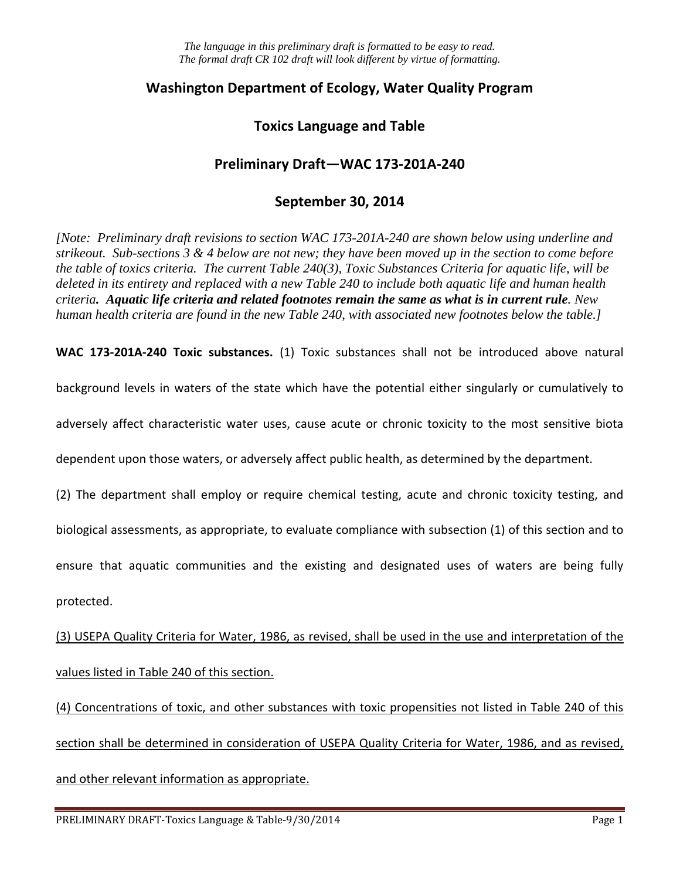## **Washington Department of Ecology, Water Quality Program**

## **Toxics Language and Table**

# **Preliminary Draft—WAC 173-201A-240**

## **September 30, 2014**

*[Note: Preliminary draft revisions to section WAC 173-201A-240 are shown below using underline and strikeout. Sub-sections 3 & 4 below are not new; they have been moved up in the section to come before the table of toxics criteria. The current Table 240(3), Toxic Substances Criteria for aquatic life, will be deleted in its entirety and replaced with a new Table 240 to include both aquatic life and human health criteria. Aquatic life criteria and related footnotes remain the same as what is in current rule. New human health criteria are found in the new Table 240, with associated new footnotes below the table.]*

**WAC 173-201A-240 Toxic substances.** (1) Toxic substances shall not be introduced above natural

background levels in waters of the state which have the potential either singularly or cumulatively to

adversely affect characteristic water uses, cause acute or chronic toxicity to the most sensitive biota

dependent upon those waters, or adversely affect public health, as determined by the department.

(2) The department shall employ or require chemical testing, acute and chronic toxicity testing, and

biological assessments, as appropriate, to evaluate compliance with subsection (1) of this section and to

ensure that aquatic communities and the existing and designated uses of waters are being fully

protected.

(3) USEPA Quality Criteria for Water, 1986, as revised, shall be used in the use and interpretation of the values listed in Table 240 of this section.

(4) Concentrations of toxic, and other substances with toxic propensities not listed in Table 240 of this section shall be determined in consideration of USEPA Quality Criteria for Water, 1986, and as revised, and other relevant information as appropriate.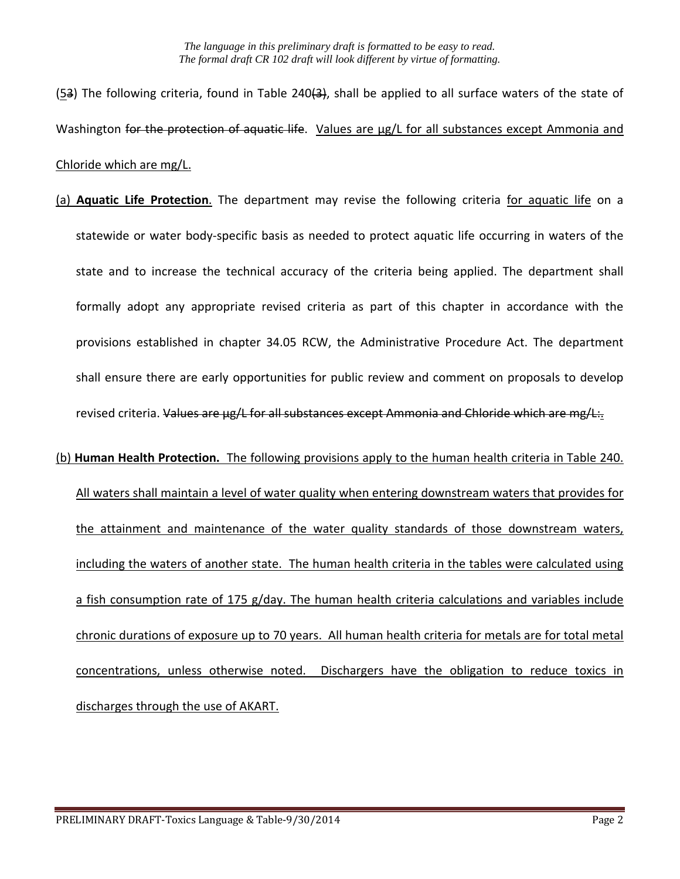- (53) The following criteria, found in Table 240(3), shall be applied to all surface waters of the state of Washington for the protection of aquatic life. Values are µg/L for all substances except Ammonia and Chloride which are mg/L.
- (a) **Aquatic Life Protection**. The department may revise the following criteria for aquatic life on a statewide or water body-specific basis as needed to protect aquatic life occurring in waters of the state and to increase the technical accuracy of the criteria being applied. The department shall formally adopt any appropriate revised criteria as part of this chapter in accordance with the provisions established in chapter 34.05 RCW, the Administrative Procedure Act. The department shall ensure there are early opportunities for public review and comment on proposals to develop revised criteria. Values are µg/L for all substances except Ammonia and Chloride which are mg/L:.

### (b) **Human Health Protection.** The following provisions apply to the human health criteria in Table 240.

All waters shall maintain a level of water quality when entering downstream waters that provides for the attainment and maintenance of the water quality standards of those downstream waters, including the waters of another state. The human health criteria in the tables were calculated using a fish consumption rate of 175 g/day. The human health criteria calculations and variables include chronic durations of exposure up to 70 years. All human health criteria for metals are for total metal concentrations, unless otherwise noted. Dischargers have the obligation to reduce toxics in discharges through the use of AKART.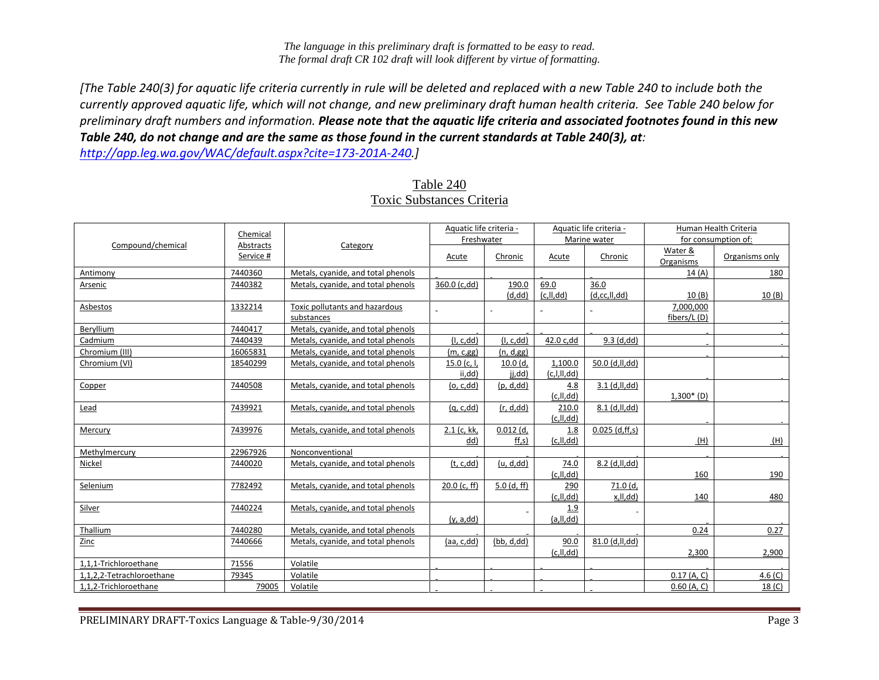*[The Table 240(3) for aquatic life criteria currently in rule will be deleted and replaced with a new Table 240 to include both the currently approved aquatic life, which will not change, and new preliminary draft human health criteria. See Table 240 below for preliminary draft numbers and information. Please note that the aquatic life criteria and associated footnotes found in this new Table 240, do not change and are the same as those found in the current standards at Table 240(3), at:*

*[http://app.leg.wa.gov/WAC/default.aspx?cite=173-201A-240.](http://app.leg.wa.gov/WAC/default.aspx?cite=173-201A-240)]* 

|                           | Chemical               |                                              | Aquatic life criteria -<br>Freshwater |                             |                           | Aquatic life criteria -<br>Marine water |                           | Human Health Criteria<br>for consumption of: |
|---------------------------|------------------------|----------------------------------------------|---------------------------------------|-----------------------------|---------------------------|-----------------------------------------|---------------------------|----------------------------------------------|
| Compound/chemical         | Abstracts<br>Service # | Category                                     | Acute                                 | Chronic                     | Acute                     | Chronic                                 | Water &<br>Organisms      | Organisms only                               |
| Antimony                  | 7440360                | Metals, cyanide, and total phenols           |                                       |                             |                           |                                         | 14(A)                     | 180                                          |
| Arsenic                   | 7440382                | Metals, cyanide, and total phenols           | 360.0 (c,dd)                          | 190.0<br>(d, dd)            | 69.0<br>(c, II, dd)       | 36.0<br>(d, cc, ll, dd)                 | 10(B)                     | 10(B)                                        |
| Asbestos                  | 1332214                | Toxic pollutants and hazardous<br>substances |                                       |                             |                           |                                         | 7,000,000<br>fibers/L (D) |                                              |
| Beryllium                 | 7440417                | Metals, cyanide, and total phenols           |                                       |                             |                           |                                         |                           |                                              |
| Cadmium                   | 7440439                | Metals, cyanide, and total phenols           | (I, c, dd)                            | (I, c, dd)                  | 42.0 c,dd                 | $9.3$ (d,dd)                            |                           |                                              |
| Chromium (III)            | 16065831               | Metals, cyanide, and total phenols           | (m, c, gg)                            | (n, d, gg)                  |                           |                                         |                           |                                              |
| Chromium (VI)             | 18540299               | Metals, cyanide, and total phenols           | 15.0 $(c, l)$<br>ii,dd)               | 10.0(d,<br>ji,dd)           | 1,100.0<br>(c, I, II, dd) | 50.0 (d,ll,dd)                          |                           |                                              |
| Copper                    | 7440508                | Metals, cyanide, and total phenols           | <u>(o, c,dd)</u>                      | (p, d, dd)                  | 4.8<br>(c, Il, dd)        | 3.1 (d, H, dd)                          | $1,300*$ (D)              |                                              |
| Lead                      | 7439921                | Metals, cyanide, and total phenols           | <u>(q, c,dd)</u>                      | (r, d, dd)                  | 210.0<br>(c, II, dd)      | $8.1$ (d,ll,dd)                         |                           |                                              |
| Mercury                   | 7439976                | Metals, cyanide, and total phenols           | 2.1 (c, kk,<br>dd)                    | $0.012$ (d,<br>$\{ ff,s \}$ | 1.8<br>(c, II, dd)        | $0.025$ (d,ff,s)                        | (H)                       | (H)                                          |
| Methylmercury             | 22967926               | Nonconventional                              |                                       |                             |                           |                                         |                           |                                              |
| Nickel                    | 7440020                | Metals, cyanide, and total phenols           | (t, c, dd)                            | (u, d, dd)                  | 74.0<br>(c, II, dd)       | 8.2 (d,ll,dd)                           | 160                       | 190                                          |
| Selenium                  | 7782492                | Metals, cyanide, and total phenols           | $20.0$ (c, ff)                        | $5.0$ (d, ff)               | 290<br>(c, Il, dd)        | 71.0 (d,<br>x,ll,dd)                    | 140                       | 480                                          |
| Silver                    | 7440224                | Metals, cyanide, and total phenols           | (y, a, dd)                            |                             | 1.9<br>(a, II, dd)        |                                         |                           |                                              |
| Thallium                  | 7440280                | Metals, cyanide, and total phenols           |                                       |                             |                           |                                         | 0.24                      | 0.27                                         |
| Zinc                      | 7440666                | Metals, cyanide, and total phenols           | (aa, c, dd)                           | (bb, d, dd)                 | 90.0<br>(c, II, dd)       | 81.0 (d,ll,dd)                          | 2,300                     | 2,900                                        |
| 1,1,1-Trichloroethane     | 71556                  | Volatile                                     |                                       |                             |                           |                                         |                           |                                              |
| 1,1,2,2-Tetrachloroethane | 79345                  | Volatile                                     |                                       |                             |                           |                                         | $0.17$ (A, C)             | 4.6(C)                                       |
| 1,1,2-Trichloroethane     | 79005                  | Volatile                                     |                                       |                             |                           |                                         | $0.60$ (A, C)             | 18 <sub>(C)</sub>                            |

### Table 240 Toxic Substances Criteria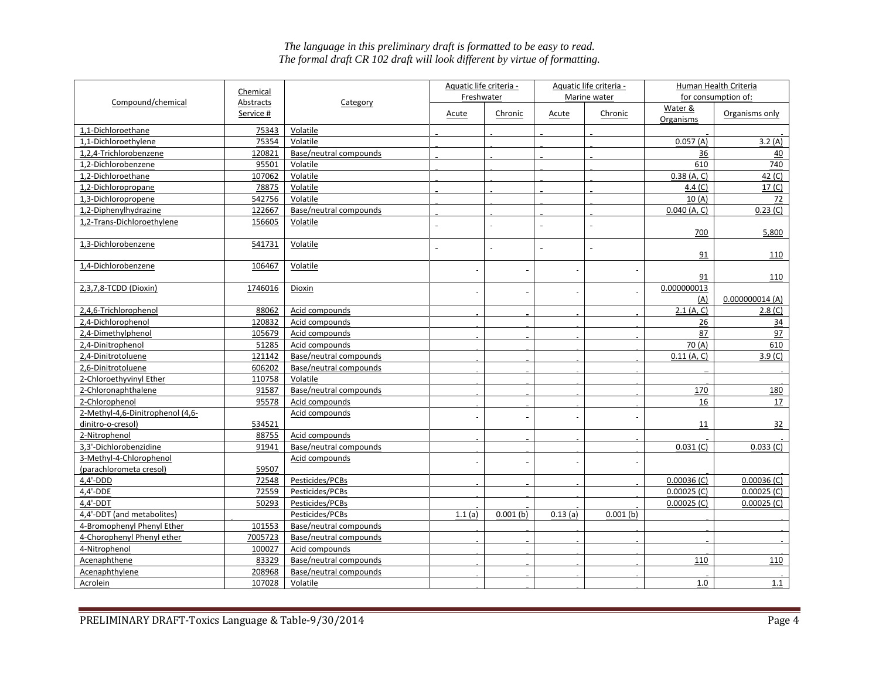|                                  |                       |                        | Aquatic life criteria - |                |                       | Aquatic life criteria - |                     | Human Health Criteria |
|----------------------------------|-----------------------|------------------------|-------------------------|----------------|-----------------------|-------------------------|---------------------|-----------------------|
| Compound/chemical                | Chemical<br>Abstracts | Category               | Freshwater              |                | Marine water          |                         | for consumption of: |                       |
|                                  | Service #             |                        | <u>Acute</u>            | Chronic        | <b>Acute</b>          | Chronic                 | Water &             | Organisms only        |
|                                  |                       |                        |                         |                |                       |                         | Organisms           |                       |
| 1,1-Dichloroethane               | 75343                 | Volatile               |                         |                |                       |                         |                     |                       |
| 1,1-Dichloroethylene             | 75354                 | Volatile               |                         |                |                       |                         | 0.057(A)            | 3.2(A)                |
| 1,2,4-Trichlorobenzene           | 120821                | Base/neutral compounds |                         |                |                       |                         | 36                  | 40                    |
| 1,2-Dichlorobenzene              | 95501                 | Volatile               |                         |                |                       |                         | 610                 | 740                   |
| 1,2-Dichloroethane               | 107062                | Volatile               |                         |                |                       |                         | 0.38(A, C)          | 42 <sub>(C)</sub>     |
| 1,2-Dichloropropane              | 78875                 | Volatile               |                         |                |                       |                         | 4.4 $(C)$           | 17 <sub>(C)</sub>     |
| 1,3-Dichloropropene              | 542756                | Volatile               |                         |                |                       |                         | 10(A)               | 72                    |
| 1,2-Diphenylhydrazine            | 122667                | Base/neutral compounds |                         |                |                       |                         | $0.040$ (A, C)      | 0.23 (C)              |
| 1,2-Trans-Dichloroethylene       | 156605                | Volatile               | $\overline{a}$          | $\overline{a}$ | $\tilde{\phantom{a}}$ |                         | 700                 | 5,800                 |
| 1,3-Dichlorobenzene              | 541731                | Volatile               | i.                      | $\overline{a}$ | i.                    |                         |                     |                       |
|                                  |                       |                        |                         |                |                       | $\tilde{\phantom{a}}$   | 91                  | 110                   |
| 1,4-Dichlorobenzene              | 106467                | Volatile               |                         | $\overline{a}$ | $\sim$                | $\sim$                  |                     |                       |
|                                  |                       |                        |                         |                |                       |                         | 91                  | 110                   |
| 2,3,7,8-TCDD (Dioxin)            | 1746016               | Dioxin                 |                         |                |                       |                         | 0.000000013<br>(A)  | 0.000000014(A)        |
| 2,4,6-Trichlorophenol            | 88062                 | Acid compounds         |                         |                |                       |                         | 2.1(A, C)           | 2.8 <sub>(C)</sub>    |
| 2,4-Dichlorophenol               | 120832                | Acid compounds         |                         |                |                       |                         | 26                  | 34                    |
| 2,4-Dimethylphenol               | 105679                | Acid compounds         |                         |                |                       |                         | 87                  | 97                    |
| 2,4-Dinitrophenol                | 51285                 | Acid compounds         |                         |                |                       |                         | 70(A)               | 610                   |
| 2,4-Dinitrotoluene               | 121142                | Base/neutral compounds |                         |                |                       |                         | $0.11$ (A, C)       | 3.9 <sub>(C)</sub>    |
| 2,6-Dinitrotoluene               | 606202                | Base/neutral compounds |                         |                |                       |                         |                     |                       |
| 2-Chloroethyvinyl Ether          | 110758                | Volatile               |                         |                |                       |                         |                     |                       |
| 2-Chloronaphthalene              | 91587                 | Base/neutral compounds |                         |                |                       |                         | 170                 | 180                   |
| 2-Chlorophenol                   | 95578                 | Acid compounds         |                         |                |                       |                         | 16                  | 17                    |
| 2-Methyl-4,6-Dinitrophenol (4,6- |                       | Acid compounds         |                         |                | $\sim$                |                         |                     |                       |
| dinitro-o-cresol)                | 534521                |                        |                         |                |                       |                         | 11                  | 32                    |
| 2-Nitrophenol                    | 88755                 | Acid compounds         |                         |                |                       |                         |                     |                       |
| 3,3'-Dichlorobenzidine           | 91941                 | Base/neutral compounds |                         |                |                       |                         | 0.031 (C)           | 0.033(C)              |
| 3-Methyl-4-Chlorophenol          |                       | Acid compounds         | $\blacksquare$          |                | $\sim$                |                         |                     |                       |
| (parachlorometa cresol)          | 59507                 |                        |                         |                |                       |                         |                     |                       |
| $4,4'$ -DDD                      | 72548                 | Pesticides/PCBs        |                         |                |                       |                         | $0.00036$ (C)       | $0.00036$ (C)         |
| 4,4'-DDE                         | 72559                 | Pesticides/PCBs        |                         |                |                       |                         | $0.00025$ (C)       | $0.00025$ (C)         |
| $4,4'$ -DDT                      | 50293                 | Pesticides/PCBs        |                         |                |                       |                         | $0.00025$ (C)       | $0.00025$ (C)         |
| 4,4'-DDT (and metabolites)       |                       | Pesticides/PCBs        | 1.1(a)                  | $0.001$ (b)    | 0.13(a)               | $0.001$ (b)             |                     |                       |
| 4-Bromophenyl Phenyl Ether       | 101553                | Base/neutral compounds |                         |                |                       |                         |                     |                       |
| 4-Chorophenyl Phenyl ether       | 7005723               | Base/neutral compounds |                         |                |                       |                         |                     |                       |
| 4-Nitrophenol                    | 100027                | Acid compounds         |                         |                |                       |                         |                     |                       |
| Acenaphthene                     | 83329                 | Base/neutral compounds |                         |                |                       |                         | 110                 | 110                   |
| Acenaphthylene                   | 208968                | Base/neutral compounds |                         |                |                       |                         |                     |                       |
| Acrolein                         | 107028                | Volatile               |                         |                |                       |                         | 1.0                 | 1.1                   |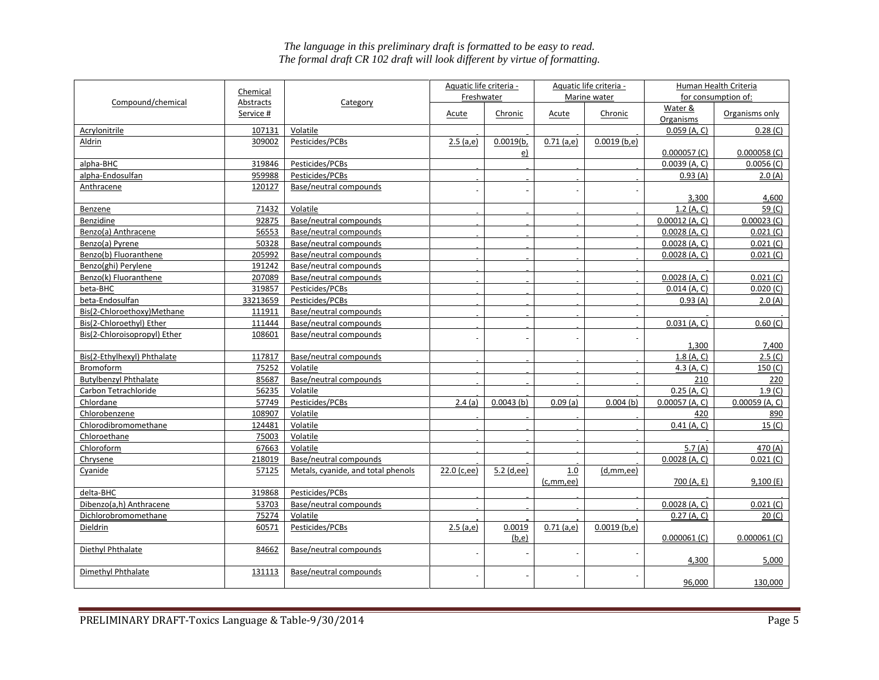|                              | Chemical  |                                    | Aquatic life criteria - |              |                      | Aquatic life criteria - |                  | Human Health Criteria |
|------------------------------|-----------|------------------------------------|-------------------------|--------------|----------------------|-------------------------|------------------|-----------------------|
| Compound/chemical            | Abstracts | Category                           | Freshwater              |              |                      | Marine water            |                  | for consumption of:   |
|                              | Service # |                                    | <b>Acute</b>            | Chronic      | Acute                | Chronic                 | Water &          | Organisms only        |
|                              |           |                                    |                         |              |                      |                         | Organisms        |                       |
| Acrylonitrile                | 107131    | Volatile                           |                         |              |                      |                         | $0.059$ (A, C)   | 0.28(C)               |
| Aldrin                       | 309002    | Pesticides/PCBs                    | 2.5(a,e)                | 0.0019(b,    | $0.71$ (a,e)         | $0.0019$ (b,e)          |                  |                       |
|                              |           |                                    |                         | <u>e)</u>    |                      |                         | $0.000057$ (C)   | $0.000058$ (C)        |
| alpha-BHC                    | 319846    | Pesticides/PCBs                    |                         |              |                      |                         | $0.0039$ (A, C)  | $0.0056$ (C)          |
| alpha-Endosulfan             | 959988    | Pesticides/PCBs                    |                         |              |                      |                         | 0.93(A)          | 2.0(A)                |
| Anthracene                   | 120127    | Base/neutral compounds             |                         |              |                      |                         |                  |                       |
|                              |           |                                    |                         |              |                      |                         | 3,300            | 4,600                 |
| Benzene                      | 71432     | Volatile                           |                         |              |                      |                         | 1.2(A, C)        | 59 (C)                |
| Benzidine                    | 92875     | Base/neutral compounds             |                         |              |                      |                         | $0.00012$ (A, C) | $0.00023$ (C)         |
| Benzo(a) Anthracene          | 56553     | Base/neutral compounds             |                         |              |                      |                         | $0.0028$ (A, C)  | 0.021 (C)             |
| Benzo(a) Pyrene              | 50328     | Base/neutral compounds             |                         |              |                      |                         | $0.0028$ (A, C)  | $0.021$ (C)           |
| Benzo(b) Fluoranthene        | 205992    | Base/neutral compounds             |                         |              |                      |                         | $0.0028$ (A, C)  | $0.021$ (C)           |
| Benzo(ghi) Perylene          | 191242    | Base/neutral compounds             |                         |              |                      |                         |                  |                       |
| Benzo(k) Fluoranthene        | 207089    | Base/neutral compounds             |                         |              |                      |                         | $0.0028$ (A, C)  | 0.021 (C)             |
| beta-BHC                     | 319857    | Pesticides/PCBs                    |                         |              |                      |                         | $0.014$ (A, C)   | 0.020(C)              |
| beta-Endosulfan              | 33213659  | Pesticides/PCBs                    |                         |              |                      |                         | 0.93(A)          | 2.0(A)                |
| Bis(2-Chloroethoxy)Methane   | 111911    | Base/neutral compounds             |                         |              |                      |                         |                  |                       |
| Bis(2-Chloroethyl) Ether     | 111444    | Base/neutral compounds             |                         |              |                      |                         | $0.031$ (A, C)   | 0.60(C)               |
| Bis(2-Chloroisopropyl) Ether | 108601    | Base/neutral compounds             |                         |              |                      |                         |                  |                       |
|                              |           |                                    |                         |              |                      |                         | 1,300            | 7,400                 |
| Bis(2-Ethylhexyl) Phthalate  | 117817    | Base/neutral compounds             |                         |              |                      |                         | 1.8(A, C)        | 2.5(C)                |
| Bromoform                    | 75252     | Volatile                           |                         |              |                      |                         | 4.3 $(A, C)$     | 150(C)                |
| <b>Butylbenzyl Phthalate</b> | 85687     | Base/neutral compounds             |                         |              |                      |                         | 210              | 220                   |
| Carbon Tetrachloride         | 56235     | Volatile                           |                         |              |                      |                         | 0.25(A, C)       | 1.9 <sub>(C)</sub>    |
| Chlordane                    | 57749     | Pesticides/PCBs                    | 2.4(a)                  | 0.0043(b)    | 0.09(a)              | $0.004$ (b)             | $0.00057$ (A, C) | $0.00059$ (A, C)      |
| Chlorobenzene                | 108907    | Volatile                           |                         |              |                      |                         | 420              | 890                   |
| Chlorodibromomethane         | 124481    | Volatile                           |                         |              |                      |                         | $0.41$ (A, C)    | 15 <sub>(C)</sub>     |
| Chloroethane                 | 75003     | Volatile                           |                         |              |                      |                         |                  |                       |
| Chloroform                   | 67663     | Volatile                           |                         |              |                      |                         | 5.7 $(A)$        | 470 (A)               |
| Chrysene                     | 218019    | Base/neutral compounds             |                         |              |                      |                         | $0.0028$ (A, C)  | $0.021($ C)           |
| Cyanide                      | 57125     | Metals, cyanide, and total phenols | 22.0 (c,ee)             | $5.2$ (d,ee) | 1.0                  | (d, mm, ee)             |                  |                       |
|                              |           |                                    |                         |              | (c,mm,ee)            |                         | 700 (A, E)       | $9,100$ (E)           |
| delta-BHC                    | 319868    | Pesticides/PCBs                    |                         |              |                      |                         |                  |                       |
| Dibenzo(a,h) Anthracene      | 53703     | Base/neutral compounds             |                         |              |                      |                         | $0.0028$ (A, C)  | 0.021 (C)             |
| Dichlorobromomethane         | 75274     | Volatile                           |                         |              |                      |                         | 0.27(A, C)       | 20 (C)                |
| Dieldrin                     | 60571     | Pesticides/PCBs                    | 2.5(a,e)                | 0.0019       | $0.71$ (a,e)         | $0.0019$ (b,e)          |                  |                       |
|                              |           |                                    |                         | (b,e)        |                      |                         | $0.000061$ (C)   | 0.000061 (C)          |
| Diethyl Phthalate            | 84662     | Base/neutral compounds             |                         |              | $\ddot{\phantom{1}}$ |                         |                  |                       |
|                              |           |                                    |                         |              |                      |                         | 4,300            | 5,000                 |
| Dimethyl Phthalate           | 131113    | Base/neutral compounds             |                         |              | ä,                   |                         |                  |                       |
|                              |           |                                    |                         |              |                      |                         | 96,000           | 130,000               |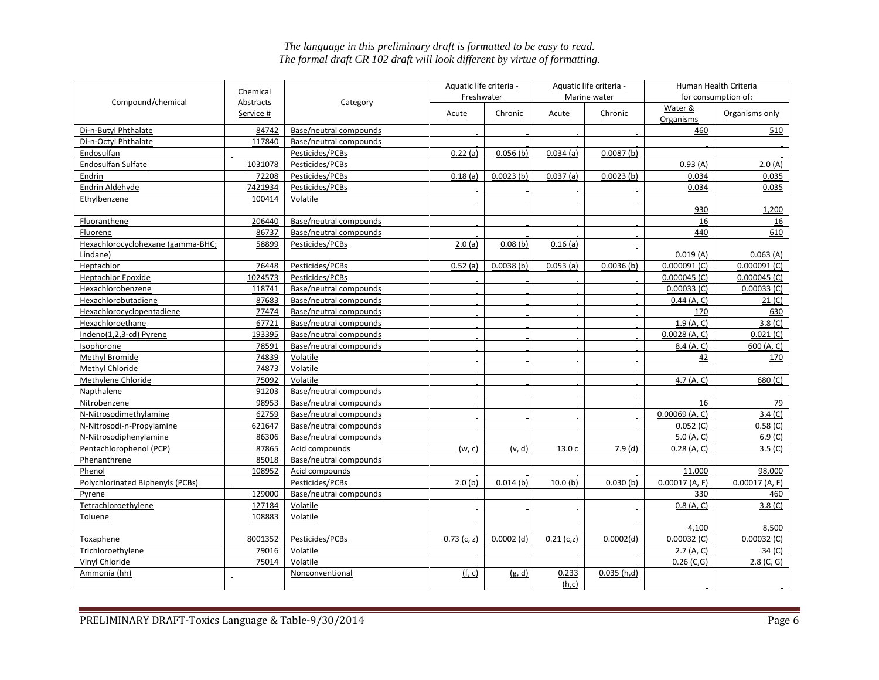|                                   | Chemical  |                        | Aquatic life criteria - |              |                | Aquatic life criteria - |                      | Human Health Criteria |
|-----------------------------------|-----------|------------------------|-------------------------|--------------|----------------|-------------------------|----------------------|-----------------------|
| Compound/chemical                 | Abstracts | Category               | Freshwater              |              | Marine water   |                         | for consumption of:  |                       |
|                                   | Service # |                        | Acute                   | Chronic      | <b>Acute</b>   | Chronic                 | Water &<br>Organisms | Organisms only        |
| Di-n-Butyl Phthalate              | 84742     | Base/neutral compounds |                         |              |                |                         | 460                  | 510                   |
| Di-n-Octyl Phthalate              | 117840    | Base/neutral compounds |                         |              |                |                         |                      |                       |
| Endosulfan                        |           | Pesticides/PCBs        | 0.22(a)                 | 0.056(b)     | $0.034$ (a)    | 0.0087 <sub>(b)</sub>   |                      |                       |
| Endosulfan Sulfate                | 1031078   | Pesticides/PCBs        |                         |              |                |                         | 0.93(A)              | 2.0(A)                |
| Endrin                            | 72208     | Pesticides/PCBs        | 0.18(a)                 | 0.0023(b)    | 0.037(a)       | 0.0023(b)               | 0.034                | 0.035                 |
| Endrin Aldehyde                   | 7421934   | Pesticides/PCBs        |                         |              |                |                         | 0.034                | 0.035                 |
| Ethylbenzene                      | 100414    | Volatile               |                         |              |                |                         |                      |                       |
|                                   |           |                        |                         |              |                |                         | 930                  | 1,200                 |
| Fluoranthene                      | 206440    | Base/neutral compounds |                         |              |                |                         | 16                   | 16                    |
| Fluorene                          | 86737     | Base/neutral compounds |                         |              |                |                         | 440                  | 610                   |
| Hexachlorocyclohexane (gamma-BHC; | 58899     | Pesticides/PCBs        | 2.0(a)                  | 0.08(b)      | 0.16(a)        |                         |                      |                       |
| Lindane)                          |           |                        |                         |              |                |                         | 0.019(A)             | 0.063(A)              |
| Heptachlor                        | 76448     | Pesticides/PCBs        | 0.52(a)                 | 0.0038(b)    | 0.053(a)       | 0.0036(b)               | 0.000091 (C)         | $0.000091$ (C)        |
| <b>Heptachlor Epoxide</b>         | 1024573   | Pesticides/PCBs        |                         |              |                |                         | $0.000045$ (C)       | $0.000045$ (C)        |
| Hexachlorobenzene                 | 118741    | Base/neutral compounds |                         |              |                |                         | $0.00033$ (C)        | $0.00033$ (C)         |
| Hexachlorobutadiene               | 87683     | Base/neutral compounds |                         |              |                |                         | $0.44$ (A, C)        | 21 (C)                |
| Hexachlorocyclopentadiene         | 77474     | Base/neutral compounds |                         |              |                |                         | 170                  | 630                   |
| Hexachloroethane                  | 67721     | Base/neutral compounds |                         |              |                |                         | 1.9(A, C)            | 3.8 <sub>(C)</sub>    |
| Indeno(1,2,3-cd) Pyrene           | 193395    | Base/neutral compounds |                         |              |                |                         | $0.0028$ (A, C)      | $0.021$ (C)           |
| <b>Isophorone</b>                 | 78591     | Base/neutral compounds |                         |              |                |                         | 8.4(A, C)            | 600 (A, C)            |
| Methyl Bromide                    | 74839     | Volatile               |                         |              |                |                         | 42                   | 170                   |
| Methyl Chloride                   | 74873     | Volatile               |                         |              |                |                         |                      |                       |
| Methylene Chloride                | 75092     | Volatile               |                         |              |                |                         | 4.7 (A, C)           | 680 (C)               |
| Napthalene                        | 91203     | Base/neutral compounds |                         |              |                |                         |                      |                       |
| Nitrobenzene                      | 98953     | Base/neutral compounds |                         |              |                |                         | 16                   | 79                    |
| N-Nitrosodimethylamine            | 62759     | Base/neutral compounds |                         |              |                |                         | $0.00069$ (A, C)     | 3.4 (C)               |
| N-Nitrosodi-n-Propylamine         | 621647    | Base/neutral compounds |                         |              |                |                         | 0.052(C)             | 0.58 <sub>(C)</sub>   |
| N-Nitrosodiphenylamine            | 86306     | Base/neutral compounds |                         |              |                |                         | 5.0 (A, C)           | 6.9 <sub>(C)</sub>    |
| Pentachlorophenol (PCP)           | 87865     | Acid compounds         | <u>(w, c)</u>           | (v, d)       | 13.0 c         | 7.9(d)                  | 0.28(A, C)           | 3.5 (C)               |
| Phenanthrene                      | 85018     | Base/neutral compounds |                         |              |                |                         |                      |                       |
| Phenol                            | 108952    | Acid compounds         |                         |              |                |                         | 11,000               | 98,000                |
| Polychlorinated Biphenyls (PCBs)  |           | Pesticides/PCBs        | 2.0(b)                  | $0.014$ (b)  | 10.0(b)        | 0.030(b)                | $0.00017$ (A, F)     | $0.00017$ (A, F)      |
| Pyrene                            | 129000    | Base/neutral compounds |                         |              |                |                         | 330                  | 460                   |
| Tetrachloroethylene               | 127184    | Volatile               |                         |              |                |                         | $0.8$ (A, C)         | 3.8 <sub>(C)</sub>    |
| Toluene                           | 108883    | Volatile               |                         |              |                |                         | 4,100                | 8,500                 |
| Toxaphene                         | 8001352   | Pesticides/PCBs        | $0.73$ (c, z)           | $0.0002$ (d) | $0.21$ (c,z)   | 0.0002(d)               | $0.00032$ (C)        | $0.00032$ (C)         |
| Trichloroethylene                 | 79016     | Volatile               |                         |              |                |                         | 2.7(A, C)            | 34 (C)                |
| Vinyl Chloride                    | 75014     | Volatile               |                         |              |                |                         | $0.26$ (C,G)         | 2.8 (C, G)            |
| Ammonia (hh)                      |           | Nonconventional        | (f, c)                  | (g, d)       | 0.233<br>(h,c) | 0.035(h,d)              |                      |                       |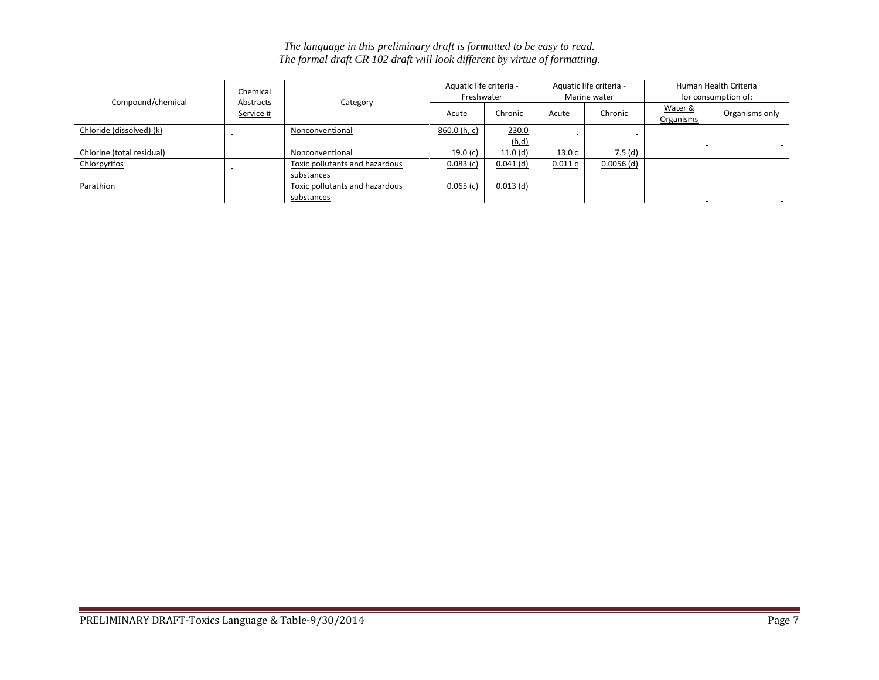| The language in this preliminary draft is formatted to be easy to read.    |  |
|----------------------------------------------------------------------------|--|
| The formal draft CR 102 draft will look different by virtue of formatting. |  |

|                           | Chemical               |                                              | Aquatic life criteria -<br>Freshwater |                |                | Aquatic life criteria -<br>Marine water | Human Health Criteria<br>for consumption of: |                |
|---------------------------|------------------------|----------------------------------------------|---------------------------------------|----------------|----------------|-----------------------------------------|----------------------------------------------|----------------|
| Compound/chemical         | Abstracts<br>Service # | Category                                     | <b>Acute</b>                          | Chronic        | <b>Acute</b>   | Chronic                                 | Water &<br><b>Organisms</b>                  | Organisms only |
| Chloride (dissolved) (k)  |                        | Nonconventional                              | 860.0 (h, c)                          | 230.0<br>(h,d) | $\blacksquare$ |                                         |                                              |                |
| Chlorine (total residual) |                        | Nonconventional                              | 19.0 $(c)$                            | 11.0(d)        | 13.0c          | 7.5(d)                                  |                                              |                |
| Chlorpyrifos              |                        | Toxic pollutants and hazardous<br>substances | 0.083(c)                              | $0.041$ (d)    | 0.011c         | $0.0056$ (d)                            |                                              |                |
| Parathion                 |                        | Toxic pollutants and hazardous<br>substances | 0.065(c)                              | $0.013$ (d)    | $\blacksquare$ | $\sim$                                  |                                              |                |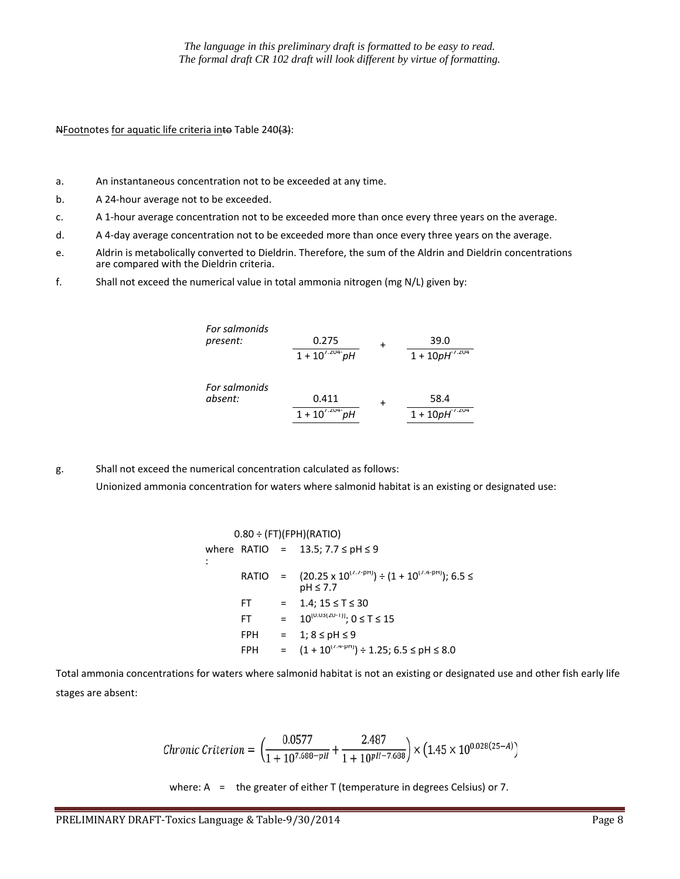NFootnotes for aquatic life criteria into Table 240(3):

- a. An instantaneous concentration not to be exceeded at any time.
- b. A 24-hour average not to be exceeded.
- c. A 1-hour average concentration not to be exceeded more than once every three years on the average.
- d. A 4-day average concentration not to be exceeded more than once every three years on the average.
- e. Aldrin is metabolically converted to Dieldrin. Therefore, the sum of the Aldrin and Dieldrin concentrations are compared with the Dieldrin criteria.
- f. Shall not exceed the numerical value in total ammonia nitrogen (mg N/L) given by:

| For salmonids |                     |                              |
|---------------|---------------------|------------------------------|
| present:      | 0.275               | 39.0                         |
|               | $1 + 10^{7.204}$ pH | $1 + 10pH^{\frac{7.204}{5}}$ |
| For salmonids |                     |                              |
| absent:       | 0.411               | 58.4                         |
|               | $1 + 10^{7.204}$ pH | $1 + 10pH^{7.204}$           |

g. Shall not exceed the numerical concentration calculated as follows: Unionized ammonia concentration for waters where salmonid habitat is an existing or designated use:

$$
0.80 \div (FT)(FPH)(RATIO)
$$
\nwhere RATIO = 13.5; 7.7  $\leq$  pH  $\leq$  9  
\n:  
\n
$$
RATIO = (20.25 \times 10^{(7.7-pH)}) \div (1 + 10^{(7.4-pH)}); 6.5 \le
$$
\n
$$
pH \leq 7.7
$$
\nFT = 1.4; 15  $\leq$  T  $\leq$  30  
\nFT = 10<sup>[0.03(20-1)]</sup>; 0  $\leq$  T  $\leq$  15  
\nFPH = 1; 8  $\leq$  pH  $\leq$  9  
\nFPH = (1 + 10<sup>(7.4-pH)</sup>)  $\div$  1.25; 6.5  $\leq$  pH  $\leq$  8.0

Total ammonia concentrations for waters where salmonid habitat is not an existing or designated use and other fish early life stages are absent:

$$
\textit{Chronic Criterion} = \left(\frac{0.0577}{1+10^{7.688-pH}} + \frac{2.487}{1+10^{pH-7.688}}\right) \times \left(1.45 \times 10^{0.028(25-A)}\right)
$$

where:  $A =$  the greater of either T (temperature in degrees Celsius) or 7.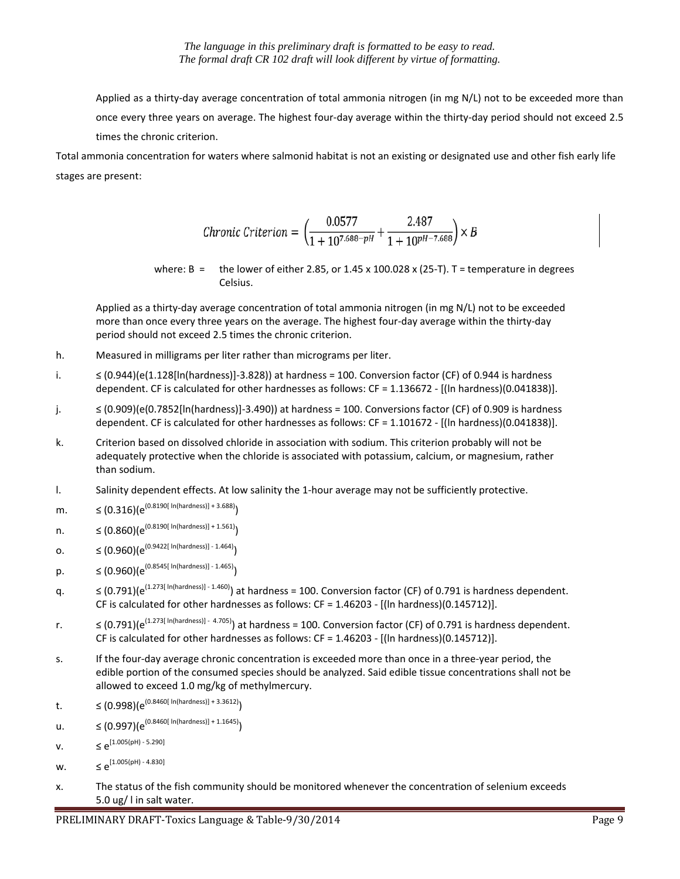Applied as a thirty-day average concentration of total ammonia nitrogen (in mg N/L) not to be exceeded more than once every three years on average. The highest four-day average within the thirty-day period should not exceed 2.5 times the chronic criterion.

Total ammonia concentration for waters where salmonid habitat is not an existing or designated use and other fish early life stages are present:

Chronic Criterion = 
$$
\left(\frac{0.0577}{1 + 10^{7.688 - pH}} + \frac{2.487}{1 + 10^{pH - 7.688}}\right) \times B
$$

where:  $B =$  the lower of either 2.85, or 1.45 x 100.028 x (25-T). T = temperature in degrees Celsius.

Applied as a thirty-day average concentration of total ammonia nitrogen (in mg N/L) not to be exceeded more than once every three years on the average. The highest four-day average within the thirty-day period should not exceed 2.5 times the chronic criterion.

- h. Measured in milligrams per liter rather than micrograms per liter.
- i. ≤ (0.944)(e(1.128[ln(hardness)]-3.828)) at hardness = 100. Conversion factor (CF) of 0.944 is hardness dependent. CF is calculated for other hardnesses as follows: CF = 1.136672 - [(ln hardness)(0.041838)].
- j. ≤ (0.909)(e(0.7852[ln(hardness)]-3.490)) at hardness = 100. Conversions factor (CF) of 0.909 is hardness dependent. CF is calculated for other hardnesses as follows: CF = 1.101672 - [(ln hardness)(0.041838)].
- k. Criterion based on dissolved chloride in association with sodium. This criterion probably will not be adequately protective when the chloride is associated with potassium, calcium, or magnesium, rather than sodium.
- l. Salinity dependent effects. At low salinity the 1-hour average may not be sufficiently protective.
- m.  $\leq (0.316)(e^{(0.8190[ln(hardness)] + 3.688)})$
- n. ≤ (0.860)( $e^{(0.8190[ ln(hardness)] + 1.561)}$ )
- 0. ≤  $(0.960)(e^{(0.9422[ ln(hardness)] 1.464)})$
- p.  $\leq (0.960)(e^{(0.8545[ ln(hardness)] 1.465)})$
- $a.$   $\leq$  (0.791)( $e^{(1.273[ln(hardness)] 1.460)}$ ) at hardness = 100. Conversion factor (CF) of 0.791 is hardness dependent. CF is calculated for other hardnesses as follows: CF = 1.46203 - [(ln hardness)(0.145712)].
- r.  $\leq (0.791)(e^{(1.273[ln(hardness)] 4.705)})$  at hardness = 100. Conversion factor (CF) of 0.791 is hardness dependent. CF is calculated for other hardnesses as follows: CF = 1.46203 - [(ln hardness)(0.145712)].
- s. If the four-day average chronic concentration is exceeded more than once in a three-year period, the edible portion of the consumed species should be analyzed. Said edible tissue concentrations shall not be allowed to exceed 1.0 mg/kg of methylmercury.
- t.  $\leq (0.998)(e^{(0.8460[ln(hardness)] + 3.3612)})$
- u. ≤  $(0.997)(e^{(0.8460[ln(hardness)] + 1.1645)})$
- **v.**  $\leq e^{[1.005(pH) 5.290]}$
- $W. \leq e^{[1.005(pH) 4.830]}$
- x. The status of the fish community should be monitored whenever the concentration of selenium exceeds 5.0 ug/ l in salt water.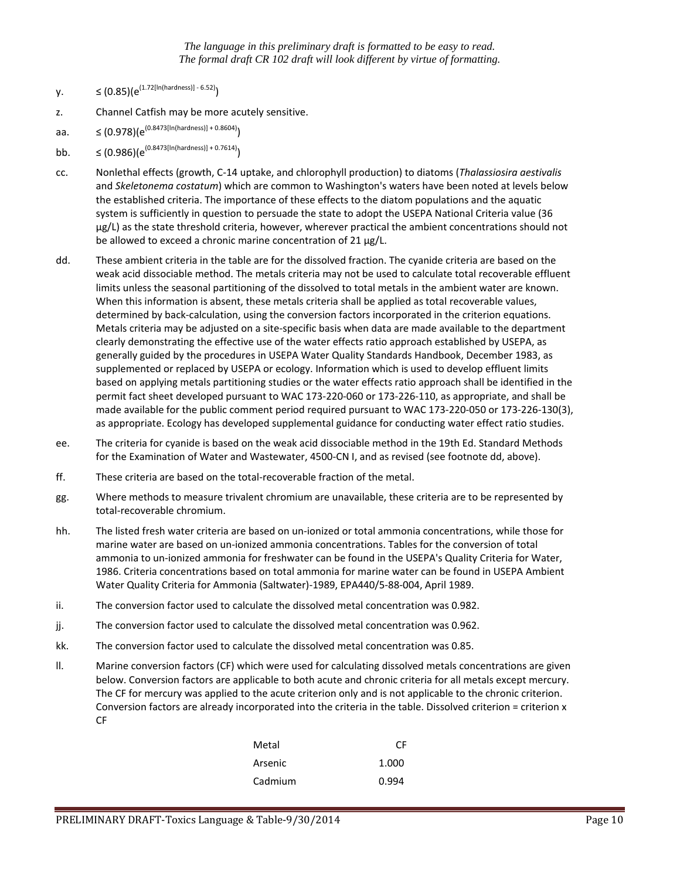- $y. \leq (0.85)(e^{(1.72[ln(hardness)] 6.52)})$
- z. Channel Catfish may be more acutely sensitive.
- aa.  $\leq (0.978)(e^{(0.8473[ln(hardness)] + 0.8604)})$
- bb.  $\leq (0.986)(e^{(0.8473[ln(hardness)] + 0.7614)})$
- cc. Nonlethal effects (growth, C-14 uptake, and chlorophyll production) to diatoms (*Thalassiosira aestivalis* and *Skeletonema costatum*) which are common to Washington's waters have been noted at levels below the established criteria. The importance of these effects to the diatom populations and the aquatic system is sufficiently in question to persuade the state to adopt the USEPA National Criteria value (36 µg/L) as the state threshold criteria, however, wherever practical the ambient concentrations should not be allowed to exceed a chronic marine concentration of 21 µg/L.
- dd. These ambient criteria in the table are for the dissolved fraction. The cyanide criteria are based on the weak acid dissociable method. The metals criteria may not be used to calculate total recoverable effluent limits unless the seasonal partitioning of the dissolved to total metals in the ambient water are known. When this information is absent, these metals criteria shall be applied as total recoverable values, determined by back-calculation, using the conversion factors incorporated in the criterion equations. Metals criteria may be adjusted on a site-specific basis when data are made available to the department clearly demonstrating the effective use of the water effects ratio approach established by USEPA, as generally guided by the procedures in USEPA Water Quality Standards Handbook, December 1983, as supplemented or replaced by USEPA or ecology. Information which is used to develop effluent limits based on applying metals partitioning studies or the water effects ratio approach shall be identified in the permit fact sheet developed pursuant to WAC 173-220-060 or 173-226-110, as appropriate, and shall be made available for the public comment period required pursuant to WAC 173-220-050 or 173-226-130(3), as appropriate. Ecology has developed supplemental guidance for conducting water effect ratio studies.
- ee. The criteria for cyanide is based on the weak acid dissociable method in the 19th Ed. Standard Methods for the Examination of Water and Wastewater, 4500-CN I, and as revised (see footnote dd, above).
- ff. These criteria are based on the total-recoverable fraction of the metal.
- gg. Where methods to measure trivalent chromium are unavailable, these criteria are to be represented by total-recoverable chromium.
- hh. The listed fresh water criteria are based on un-ionized or total ammonia concentrations, while those for marine water are based on un-ionized ammonia concentrations. Tables for the conversion of total ammonia to un-ionized ammonia for freshwater can be found in the USEPA's Quality Criteria for Water, 1986. Criteria concentrations based on total ammonia for marine water can be found in USEPA Ambient Water Quality Criteria for Ammonia (Saltwater)-1989, EPA440/5-88-004, April 1989.
- ii. The conversion factor used to calculate the dissolved metal concentration was 0.982.
- jj. The conversion factor used to calculate the dissolved metal concentration was 0.962.
- kk. The conversion factor used to calculate the dissolved metal concentration was 0.85.
- ll. Marine conversion factors (CF) which were used for calculating dissolved metals concentrations are given below. Conversion factors are applicable to both acute and chronic criteria for all metals except mercury. The CF for mercury was applied to the acute criterion only and is not applicable to the chronic criterion. Conversion factors are already incorporated into the criteria in the table. Dissolved criterion = criterion x CF

| Metal   | CF    |
|---------|-------|
| Arsenic | 1.000 |
| Cadmium | 0.994 |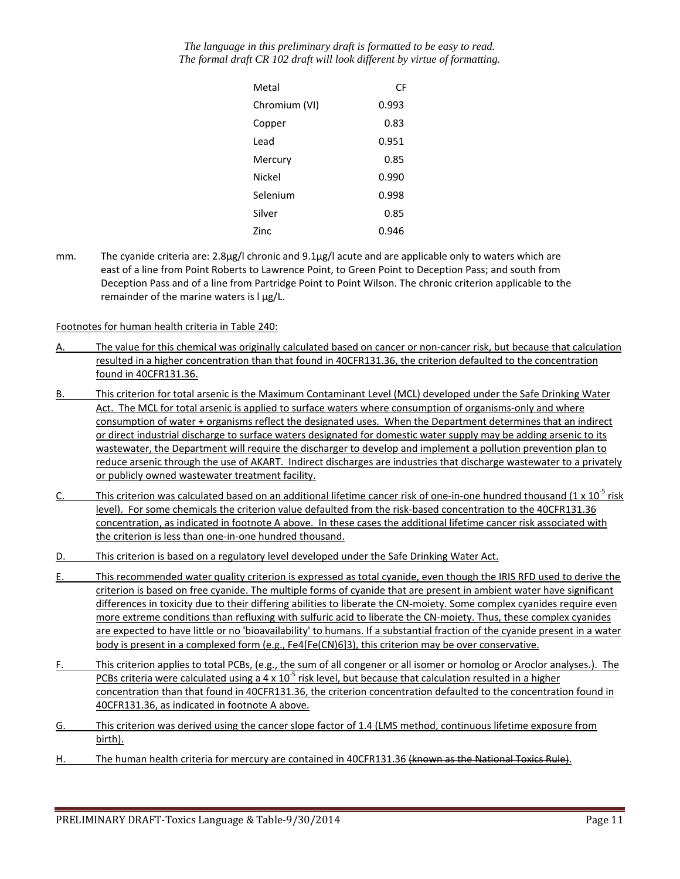| Metal         | СF    |
|---------------|-------|
| Chromium (VI) | 0.993 |
| Copper        | 0.83  |
| Lead          | 0.951 |
| Mercury       | 0.85  |
| Nickel        | 0.990 |
| Selenium      | 0.998 |
| Silver        | 0.85  |
| Zinc          | 0.946 |

mm. The cyanide criteria are: 2.8µg/l chronic and 9.1µg/l acute and are applicable only to waters which are east of a line from Point Roberts to Lawrence Point, to Green Point to Deception Pass; and south from Deception Pass and of a line from Partridge Point to Point Wilson. The chronic criterion applicable to the remainder of the marine waters is  $\log/L$ .

#### Footnotes for human health criteria in Table 240:

- A. The value for this chemical was originally calculated based on cancer or non-cancer risk, but because that calculation resulted in a higher concentration than that found in 40CFR131.36, the criterion defaulted to the concentration found in 40CFR131.36.
- B. This criterion for total arsenic is the Maximum Contaminant Level (MCL) developed under the Safe Drinking Water Act. The MCL for total arsenic is applied to surface waters where consumption of organisms-only and where consumption of water + organisms reflect the designated uses. When the Department determines that an indirect or direct industrial discharge to surface waters designated for domestic water supply may be adding arsenic to its wastewater, the Department will require the discharger to develop and implement a pollution prevention plan to reduce arsenic through the use of AKART. Indirect discharges are industries that discharge wastewater to a privately or publicly owned wastewater treatment facility.
- C. This criterion was calculated based on an additional lifetime cancer risk of one-in-one hundred thousand  $(1 \times 10^{-5} \text{ risk})$ level). For some chemicals the criterion value defaulted from the risk-based concentration to the 40CFR131.36 concentration, as indicated in footnote A above. In these cases the additional lifetime cancer risk associated with the criterion is less than one-in-one hundred thousand.
- D. This criterion is based on a regulatory level developed under the Safe Drinking Water Act.
- E. This recommended water quality criterion is expressed as total cyanide, even though the IRIS RFD used to derive the criterion is based on free cyanide. The multiple forms of cyanide that are present in ambient water have significant differences in toxicity due to their differing abilities to liberate the CN-moiety. Some complex cyanides require even more extreme conditions than refluxing with sulfuric acid to liberate the CN-moiety. Thus, these complex cyanides are expected to have little or no 'bioavailability' to humans. If a substantial fraction of the cyanide present in a water body is present in a complexed form (e.g., Fe4[Fe(CN)6]3), this criterion may be over conservative.
- F. This criterion applies to total PCBs, (e.g., the sum of all congener or all isomer or homolog or Aroclor analyses.). The PCBs criteria were calculated using a 4 x  $10^{-5}$  risk level, but because that calculation resulted in a higher concentration than that found in 40CFR131.36, the criterion concentration defaulted to the concentration found in 40CFR131.36, as indicated in footnote A above.
- G. This criterion was derived using the cancer slope factor of 1.4 (LMS method, continuous lifetime exposure from birth).
- H. The human health criteria for mercury are contained in 40CFR131.36 (known as the National Toxics Rule).